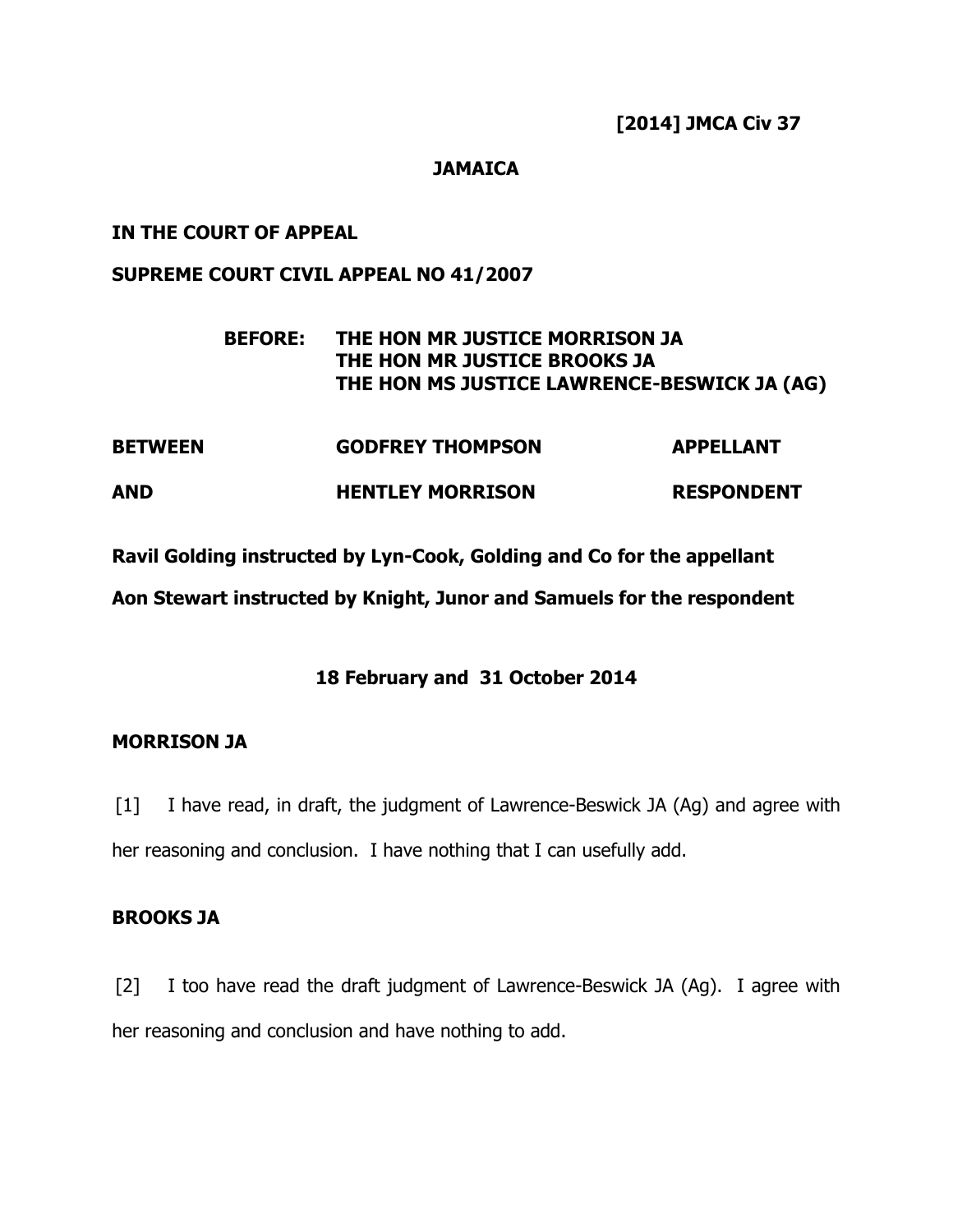## **JAMAICA**

## **IN THE COURT OF APPEAL**

## **SUPREME COURT CIVIL APPEAL NO 41/2007**

# **BEFORE: THE HON MR JUSTICE MORRISON JA THE HON MR JUSTICE BROOKS JA THE HON MS JUSTICE LAWRENCE-BESWICK JA (AG)**

| <b>BETWEEN</b> | <b>GODFREY THOMPSON</b> | <b>APPELLANT</b>  |
|----------------|-------------------------|-------------------|
| AND            | <b>HENTLEY MORRISON</b> | <b>RESPONDENT</b> |

**Ravil Golding instructed by Lyn-Cook, Golding and Co for the appellant** 

**Aon Stewart instructed by Knight, Junor and Samuels for the respondent** 

## **18 February and 31 October 2014**

## **MORRISON JA**

[1] I have read, in draft, the judgment of Lawrence-Beswick JA (Ag) and agree with her reasoning and conclusion. I have nothing that I can usefully add.

## **BROOKS JA**

[2] I too have read the draft judgment of Lawrence-Beswick JA (Ag). I agree with her reasoning and conclusion and have nothing to add.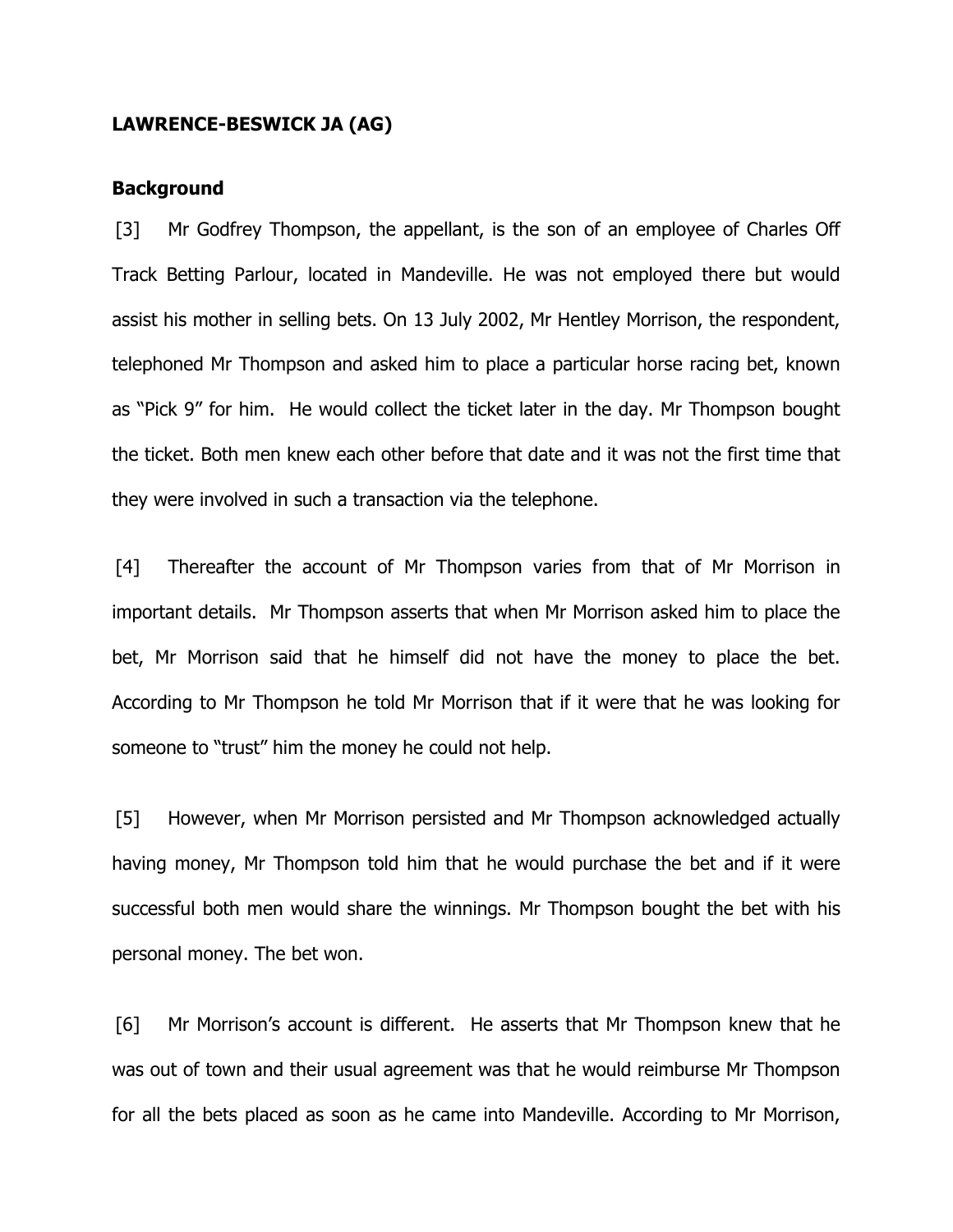#### **LAWRENCE-BESWICK JA (AG)**

#### **Background**

[3] Mr Godfrey Thompson, the appellant, is the son of an employee of Charles Off Track Betting Parlour, located in Mandeville. He was not employed there but would assist his mother in selling bets. On 13 July 2002, Mr Hentley Morrison, the respondent, telephoned Mr Thompson and asked him to place a particular horse racing bet, known as "Pick 9" for him. He would collect the ticket later in the day. Mr Thompson bought the ticket. Both men knew each other before that date and it was not the first time that they were involved in such a transaction via the telephone.

[4] Thereafter the account of Mr Thompson varies from that of Mr Morrison in important details. Mr Thompson asserts that when Mr Morrison asked him to place the bet, Mr Morrison said that he himself did not have the money to place the bet. According to Mr Thompson he told Mr Morrison that if it were that he was looking for someone to "trust" him the money he could not help.

[5] However, when Mr Morrison persisted and Mr Thompson acknowledged actually having money, Mr Thompson told him that he would purchase the bet and if it were successful both men would share the winnings. Mr Thompson bought the bet with his personal money. The bet won.

[6] Mr Morrison's account is different. He asserts that Mr Thompson knew that he was out of town and their usual agreement was that he would reimburse Mr Thompson for all the bets placed as soon as he came into Mandeville. According to Mr Morrison,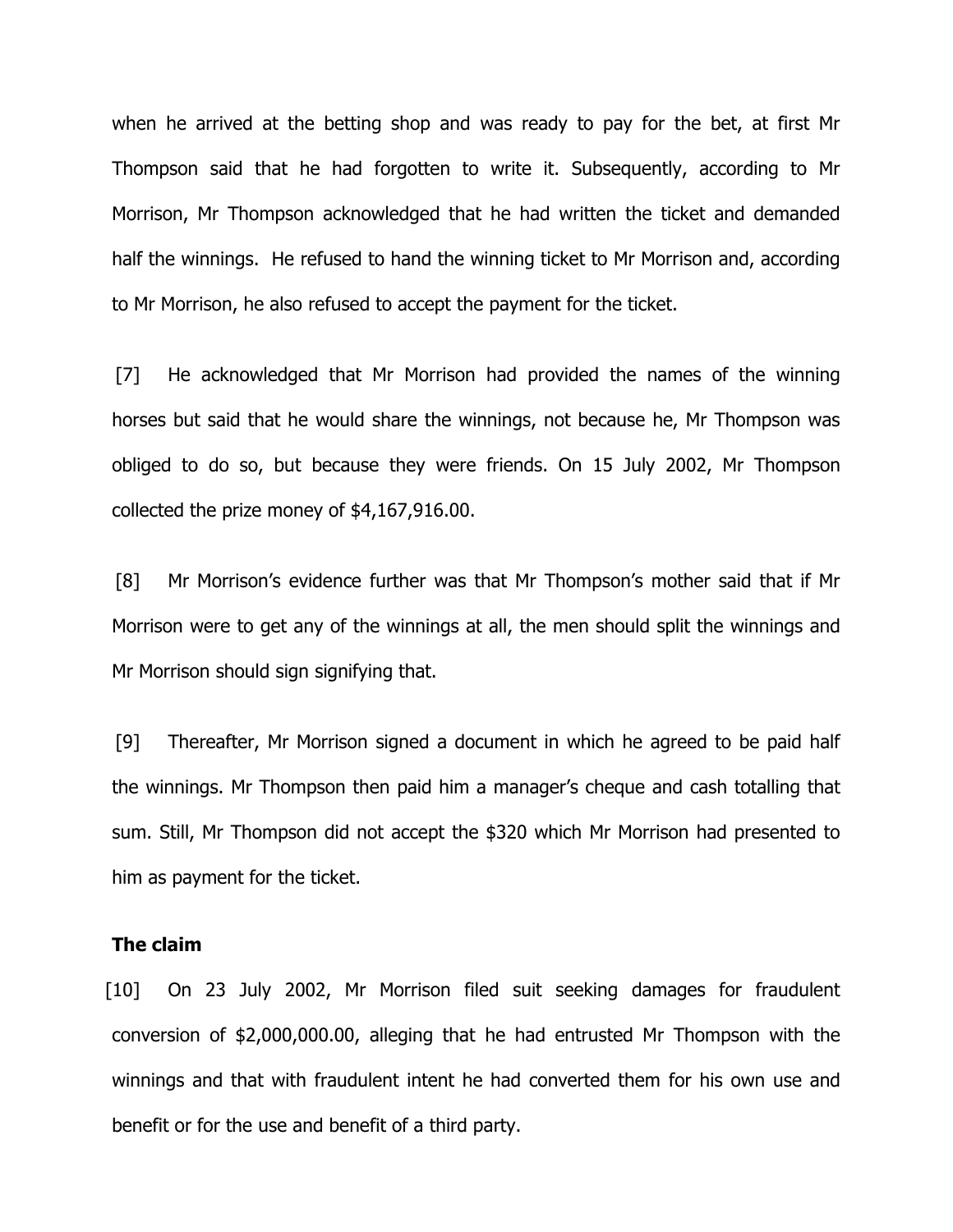when he arrived at the betting shop and was ready to pay for the bet, at first Mr Thompson said that he had forgotten to write it. Subsequently, according to Mr Morrison, Mr Thompson acknowledged that he had written the ticket and demanded half the winnings. He refused to hand the winning ticket to Mr Morrison and, according to Mr Morrison, he also refused to accept the payment for the ticket.

[7] He acknowledged that Mr Morrison had provided the names of the winning horses but said that he would share the winnings, not because he, Mr Thompson was obliged to do so, but because they were friends. On 15 July 2002, Mr Thompson collected the prize money of \$4,167,916.00.

[8] Mr Morrison's evidence further was that Mr Thompson's mother said that if Mr Morrison were to get any of the winnings at all, the men should split the winnings and Mr Morrison should sign signifying that.

[9] Thereafter, Mr Morrison signed a document in which he agreed to be paid half the winnings. Mr Thompson then paid him a manager's cheque and cash totalling that sum. Still, Mr Thompson did not accept the \$320 which Mr Morrison had presented to him as payment for the ticket.

#### **The claim**

[10] On 23 July 2002, Mr Morrison filed suit seeking damages for fraudulent conversion of \$2,000,000.00, alleging that he had entrusted Mr Thompson with the winnings and that with fraudulent intent he had converted them for his own use and benefit or for the use and benefit of a third party.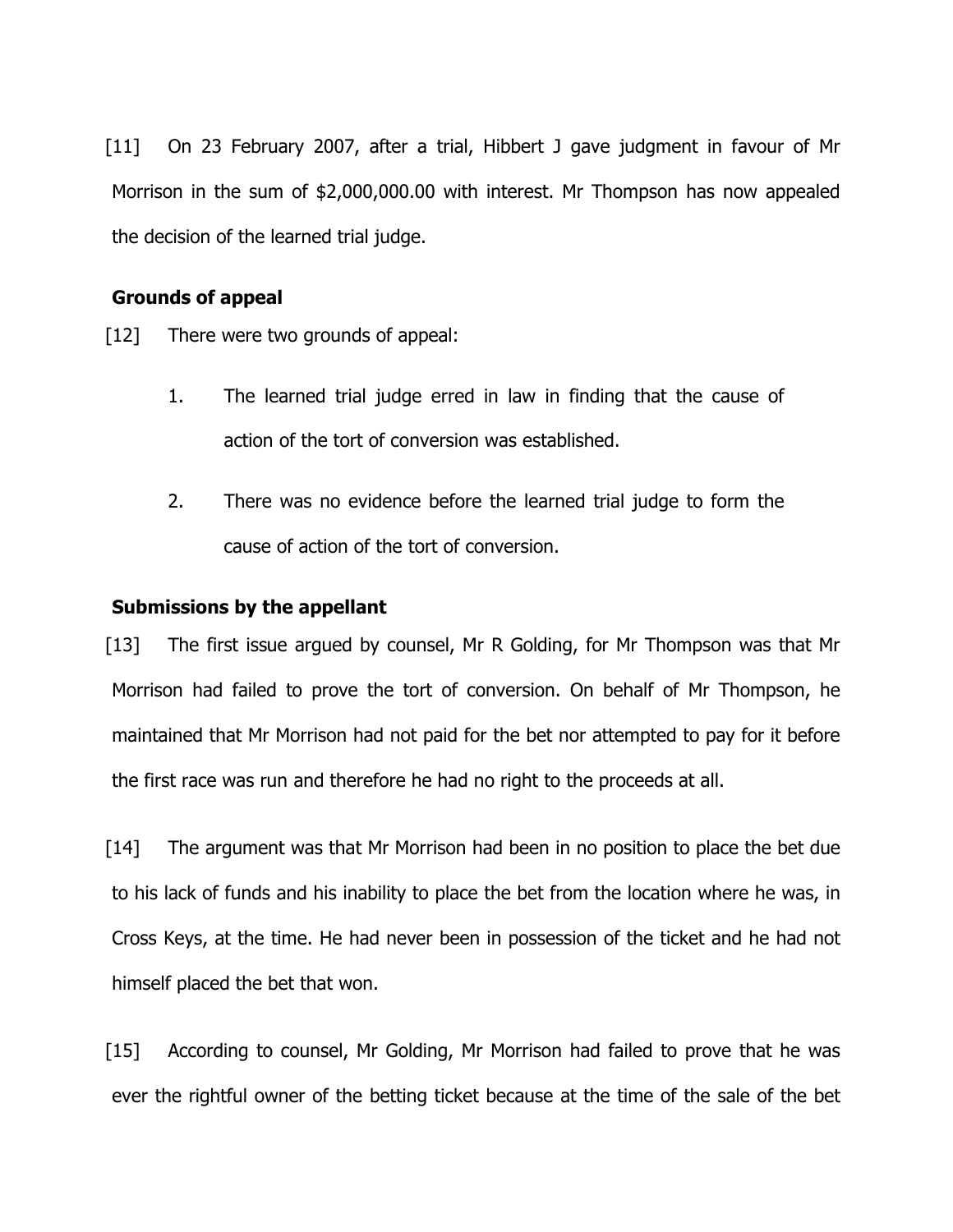[11] On 23 February 2007, after a trial, Hibbert J gave judgment in favour of Mr Morrison in the sum of \$2,000,000.00 with interest. Mr Thompson has now appealed the decision of the learned trial judge.

## **Grounds of appeal**

- [12] There were two grounds of appeal:
	- 1. The learned trial judge erred in law in finding that the cause of action of the tort of conversion was established.
	- 2. There was no evidence before the learned trial judge to form the cause of action of the tort of conversion.

## **Submissions by the appellant**

[13] The first issue argued by counsel, Mr R Golding, for Mr Thompson was that Mr Morrison had failed to prove the tort of conversion. On behalf of Mr Thompson, he maintained that Mr Morrison had not paid for the bet nor attempted to pay for it before the first race was run and therefore he had no right to the proceeds at all.

[14] The argument was that Mr Morrison had been in no position to place the bet due to his lack of funds and his inability to place the bet from the location where he was, in Cross Keys, at the time. He had never been in possession of the ticket and he had not himself placed the bet that won.

[15] According to counsel, Mr Golding, Mr Morrison had failed to prove that he was ever the rightful owner of the betting ticket because at the time of the sale of the bet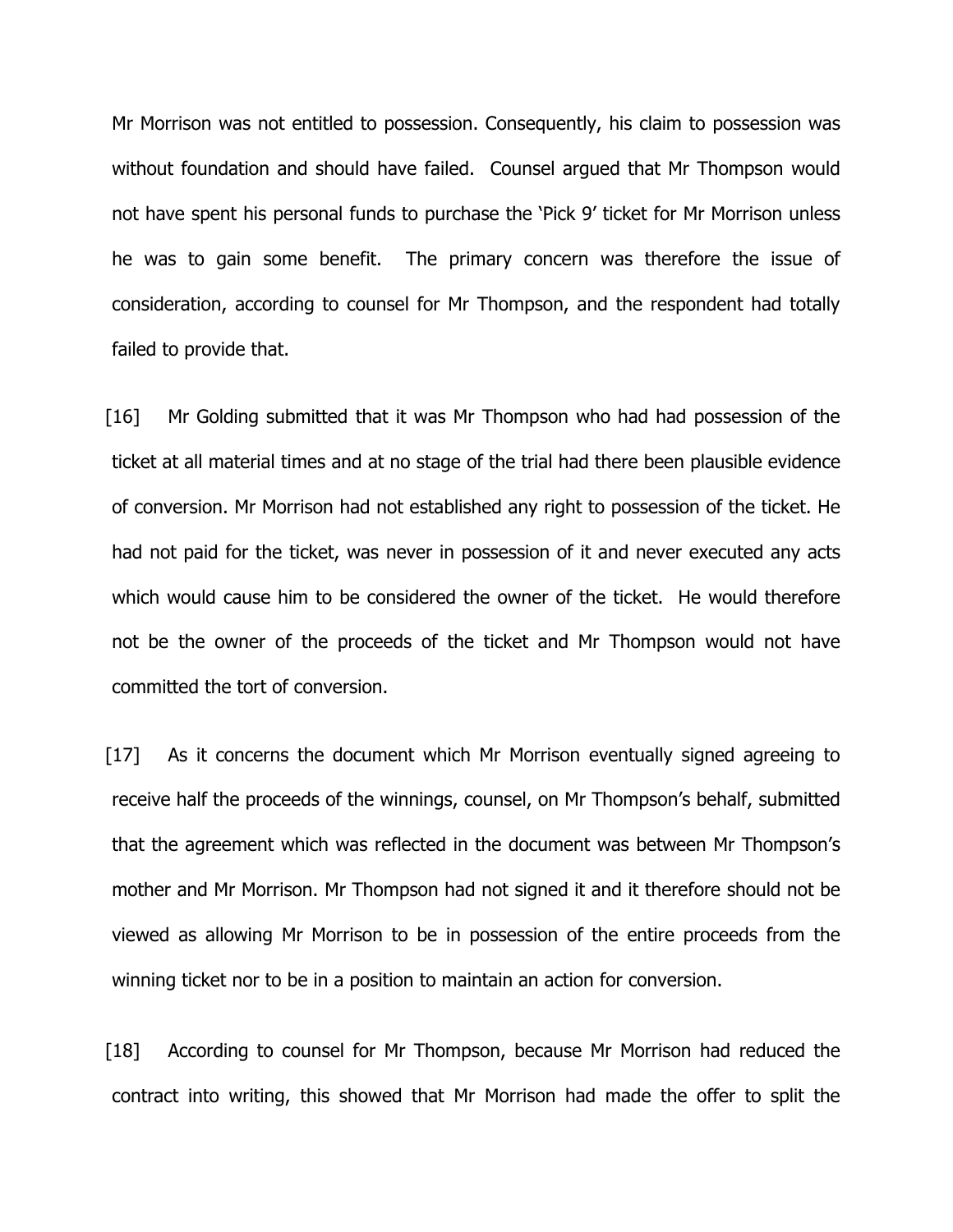Mr Morrison was not entitled to possession. Consequently, his claim to possession was without foundation and should have failed. Counsel argued that Mr Thompson would not have spent his personal funds to purchase the 'Pick 9' ticket for Mr Morrison unless he was to gain some benefit. The primary concern was therefore the issue of consideration, according to counsel for Mr Thompson, and the respondent had totally failed to provide that.

[16] Mr Golding submitted that it was Mr Thompson who had had possession of the ticket at all material times and at no stage of the trial had there been plausible evidence of conversion. Mr Morrison had not established any right to possession of the ticket. He had not paid for the ticket, was never in possession of it and never executed any acts which would cause him to be considered the owner of the ticket. He would therefore not be the owner of the proceeds of the ticket and Mr Thompson would not have committed the tort of conversion.

[17] As it concerns the document which Mr Morrison eventually signed agreeing to receive half the proceeds of the winnings, counsel, on Mr Thompson's behalf, submitted that the agreement which was reflected in the document was between Mr Thompson's mother and Mr Morrison. Mr Thompson had not signed it and it therefore should not be viewed as allowing Mr Morrison to be in possession of the entire proceeds from the winning ticket nor to be in a position to maintain an action for conversion.

[18] According to counsel for Mr Thompson, because Mr Morrison had reduced the contract into writing, this showed that Mr Morrison had made the offer to split the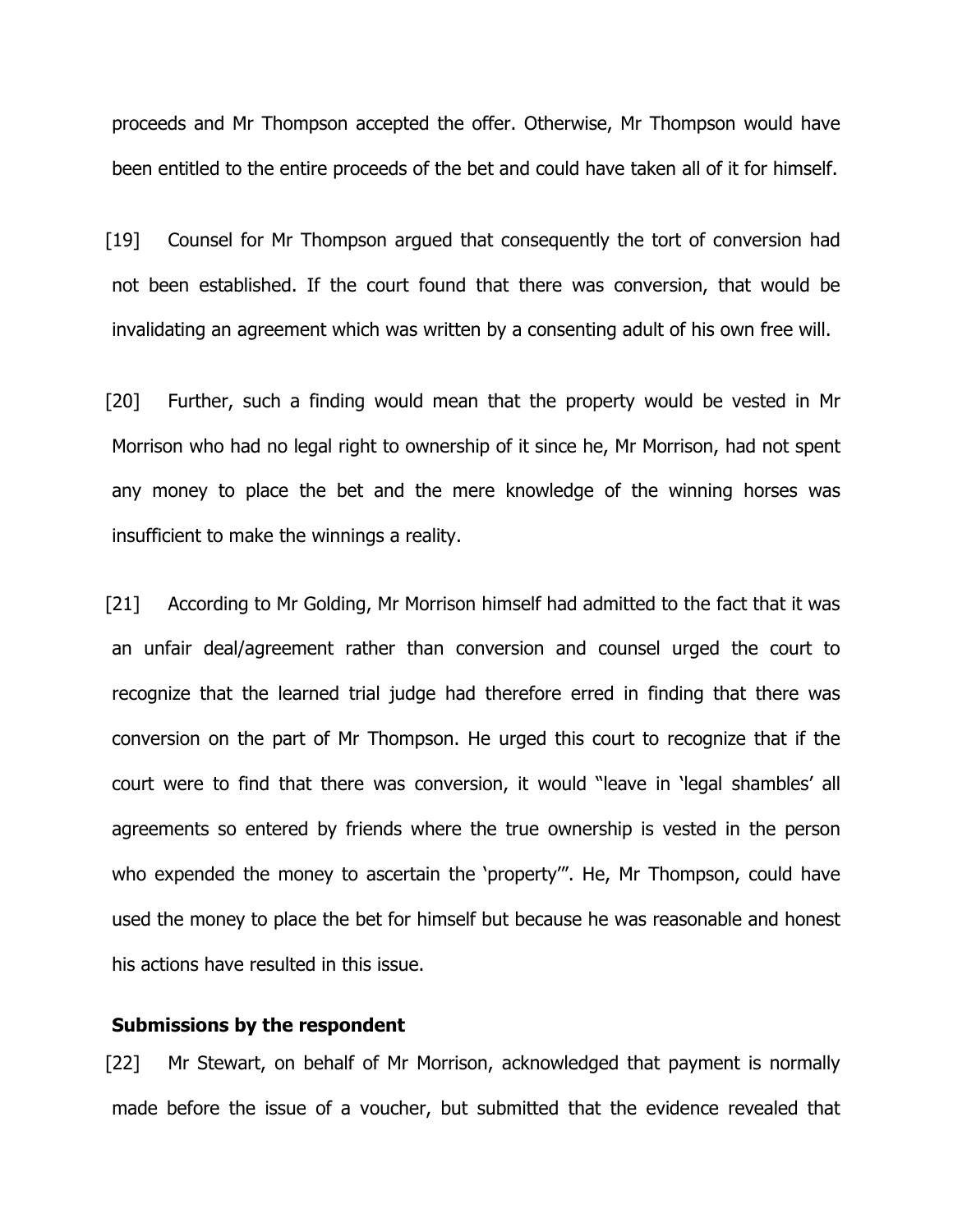proceeds and Mr Thompson accepted the offer. Otherwise, Mr Thompson would have been entitled to the entire proceeds of the bet and could have taken all of it for himself.

[19] Counsel for Mr Thompson argued that consequently the tort of conversion had not been established. If the court found that there was conversion, that would be invalidating an agreement which was written by a consenting adult of his own free will.

[20] Further, such a finding would mean that the property would be vested in Mr Morrison who had no legal right to ownership of it since he, Mr Morrison, had not spent any money to place the bet and the mere knowledge of the winning horses was insufficient to make the winnings a reality.

[21] According to Mr Golding, Mr Morrison himself had admitted to the fact that it was an unfair deal/agreement rather than conversion and counsel urged the court to recognize that the learned trial judge had therefore erred in finding that there was conversion on the part of Mr Thompson. He urged this court to recognize that if the court were to find that there was conversion, it would "leave in 'legal shambles' all agreements so entered by friends where the true ownership is vested in the person who expended the money to ascertain the 'property'". He, Mr Thompson, could have used the money to place the bet for himself but because he was reasonable and honest his actions have resulted in this issue.

#### **Submissions by the respondent**

[22] Mr Stewart, on behalf of Mr Morrison, acknowledged that payment is normally made before the issue of a voucher, but submitted that the evidence revealed that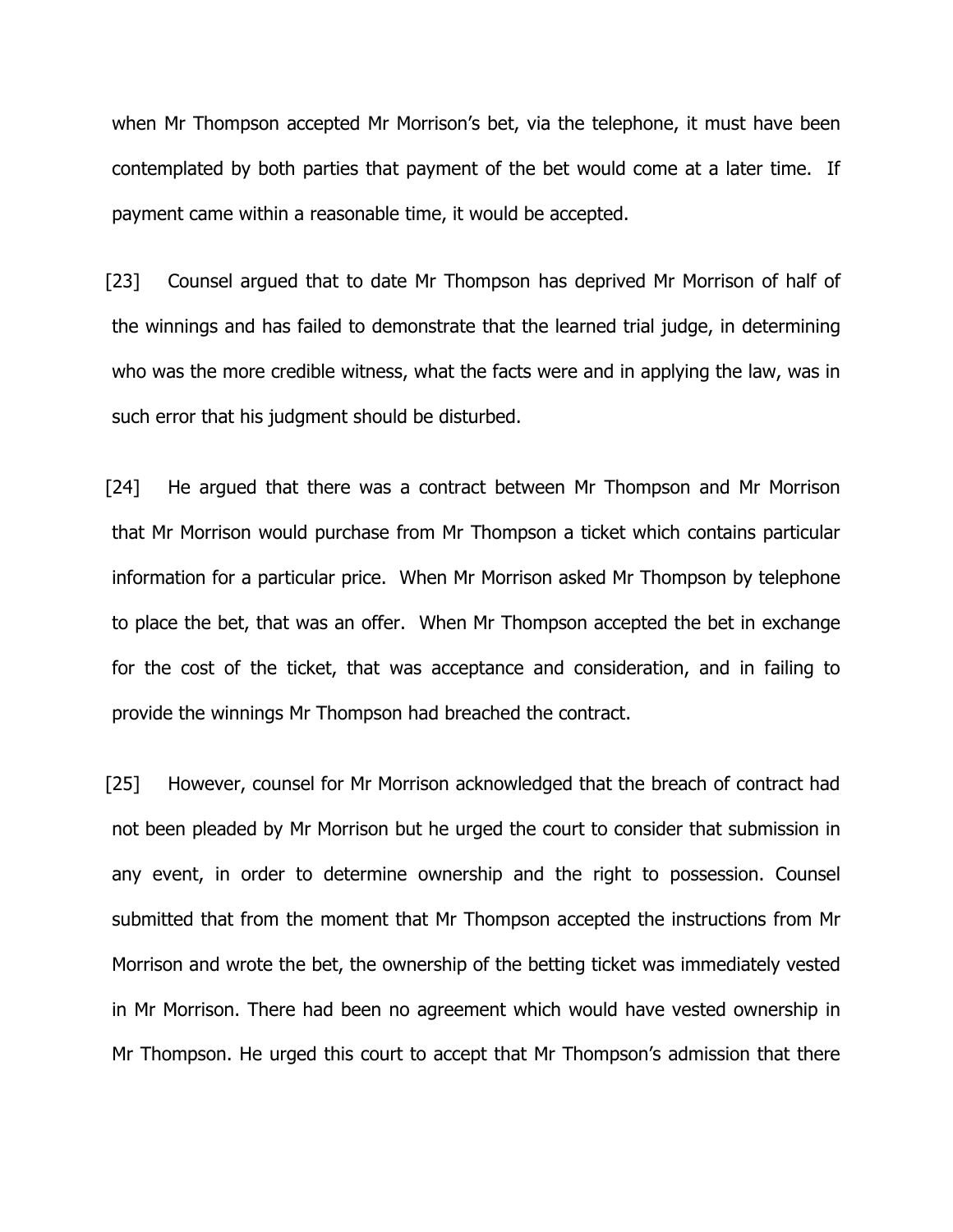when Mr Thompson accepted Mr Morrison's bet, via the telephone, it must have been contemplated by both parties that payment of the bet would come at a later time. If payment came within a reasonable time, it would be accepted.

[23] Counsel argued that to date Mr Thompson has deprived Mr Morrison of half of the winnings and has failed to demonstrate that the learned trial judge, in determining who was the more credible witness, what the facts were and in applying the law, was in such error that his judgment should be disturbed.

[24] He argued that there was a contract between Mr Thompson and Mr Morrison that Mr Morrison would purchase from Mr Thompson a ticket which contains particular information for a particular price. When Mr Morrison asked Mr Thompson by telephone to place the bet, that was an offer. When Mr Thompson accepted the bet in exchange for the cost of the ticket, that was acceptance and consideration, and in failing to provide the winnings Mr Thompson had breached the contract.

[25] However, counsel for Mr Morrison acknowledged that the breach of contract had not been pleaded by Mr Morrison but he urged the court to consider that submission in any event, in order to determine ownership and the right to possession. Counsel submitted that from the moment that Mr Thompson accepted the instructions from Mr Morrison and wrote the bet, the ownership of the betting ticket was immediately vested in Mr Morrison. There had been no agreement which would have vested ownership in Mr Thompson. He urged this court to accept that Mr Thompson's admission that there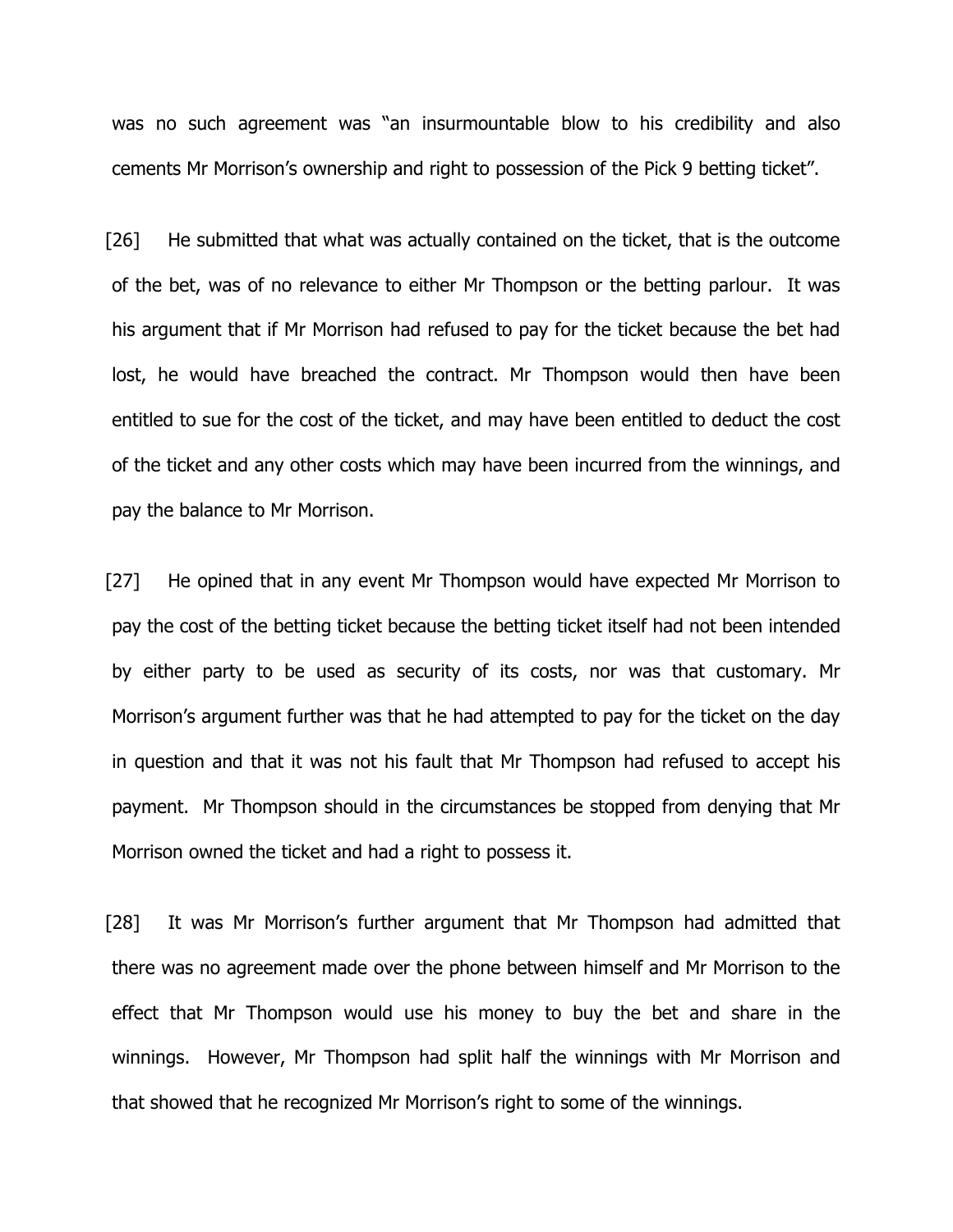was no such agreement was "an insurmountable blow to his credibility and also cements Mr Morrison's ownership and right to possession of the Pick 9 betting ticket".

[26] He submitted that what was actually contained on the ticket, that is the outcome of the bet, was of no relevance to either Mr Thompson or the betting parlour. It was his argument that if Mr Morrison had refused to pay for the ticket because the bet had lost, he would have breached the contract. Mr Thompson would then have been entitled to sue for the cost of the ticket, and may have been entitled to deduct the cost of the ticket and any other costs which may have been incurred from the winnings, and pay the balance to Mr Morrison.

[27] He opined that in any event Mr Thompson would have expected Mr Morrison to pay the cost of the betting ticket because the betting ticket itself had not been intended by either party to be used as security of its costs, nor was that customary. Mr Morrison's argument further was that he had attempted to pay for the ticket on the day in question and that it was not his fault that Mr Thompson had refused to accept his payment. Mr Thompson should in the circumstances be stopped from denying that Mr Morrison owned the ticket and had a right to possess it.

[28] It was Mr Morrison's further argument that Mr Thompson had admitted that there was no agreement made over the phone between himself and Mr Morrison to the effect that Mr Thompson would use his money to buy the bet and share in the winnings. However, Mr Thompson had split half the winnings with Mr Morrison and that showed that he recognized Mr Morrison's right to some of the winnings.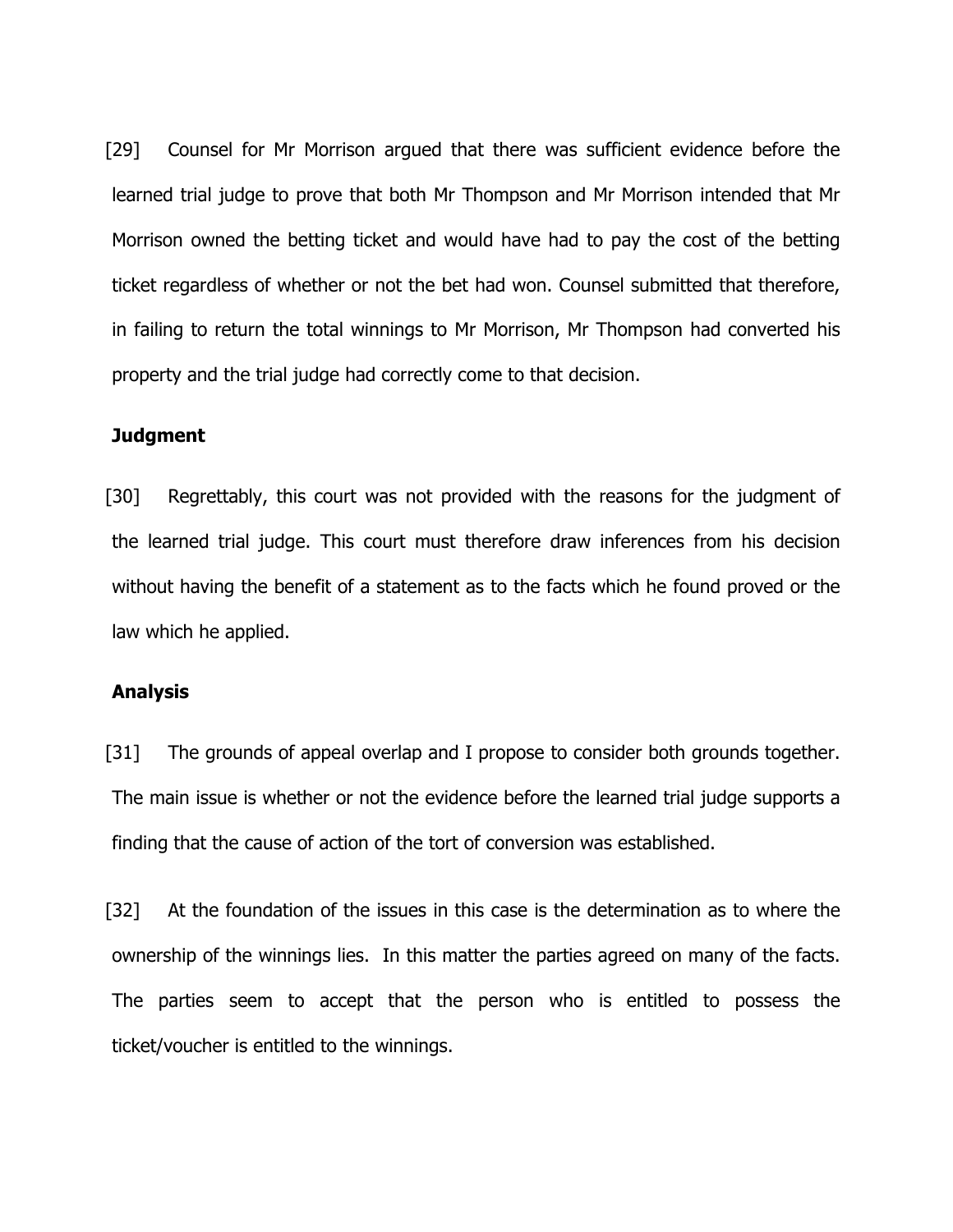[29] Counsel for Mr Morrison argued that there was sufficient evidence before the learned trial judge to prove that both Mr Thompson and Mr Morrison intended that Mr Morrison owned the betting ticket and would have had to pay the cost of the betting ticket regardless of whether or not the bet had won. Counsel submitted that therefore, in failing to return the total winnings to Mr Morrison, Mr Thompson had converted his property and the trial judge had correctly come to that decision.

#### **Judgment**

[30] Regrettably, this court was not provided with the reasons for the judgment of the learned trial judge. This court must therefore draw inferences from his decision without having the benefit of a statement as to the facts which he found proved or the law which he applied.

### **Analysis**

[31] The grounds of appeal overlap and I propose to consider both grounds together. The main issue is whether or not the evidence before the learned trial judge supports a finding that the cause of action of the tort of conversion was established.

[32] At the foundation of the issues in this case is the determination as to where the ownership of the winnings lies. In this matter the parties agreed on many of the facts. The parties seem to accept that the person who is entitled to possess the ticket/voucher is entitled to the winnings.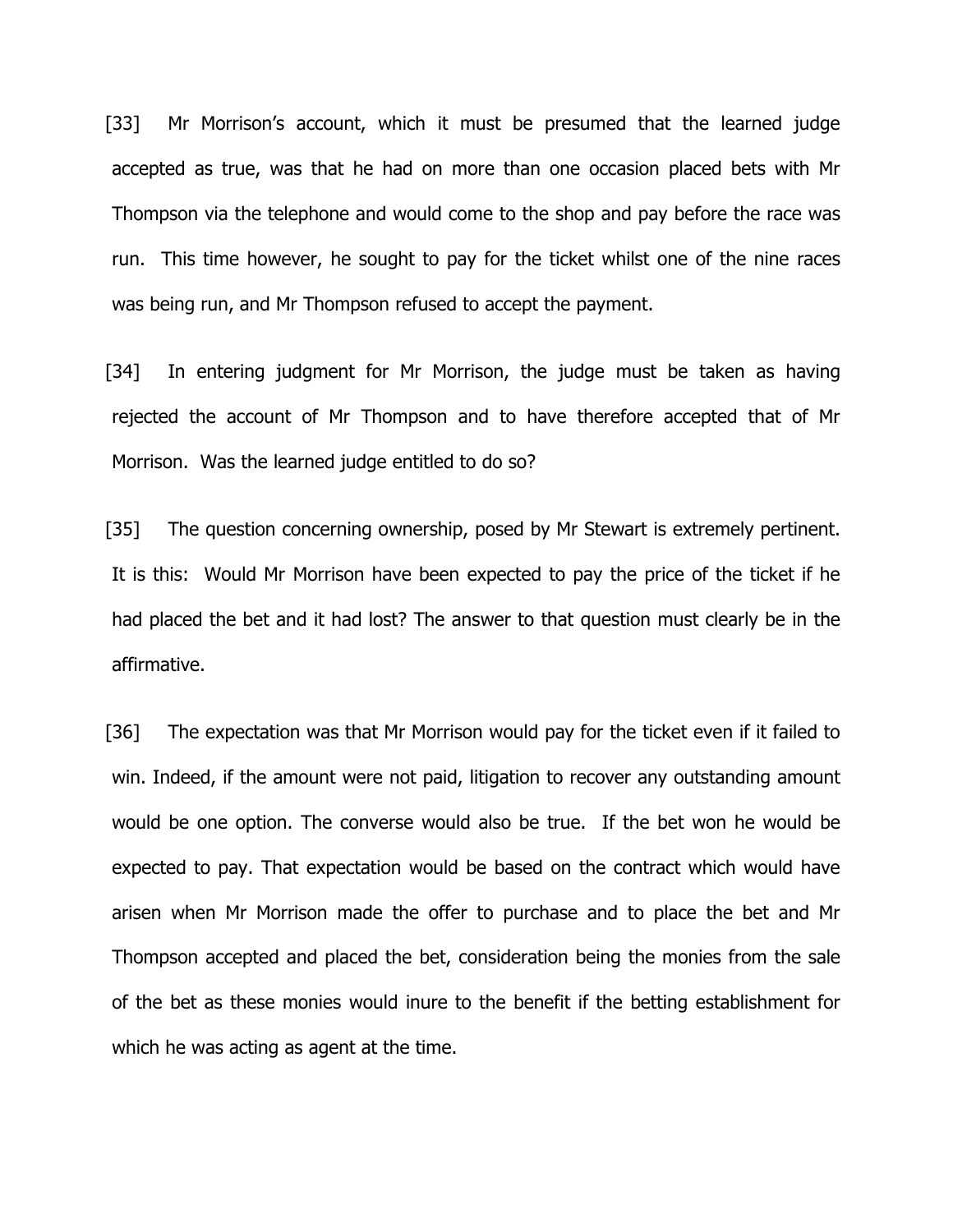[33] Mr Morrison's account, which it must be presumed that the learned judge accepted as true, was that he had on more than one occasion placed bets with Mr Thompson via the telephone and would come to the shop and pay before the race was run. This time however, he sought to pay for the ticket whilst one of the nine races was being run, and Mr Thompson refused to accept the payment.

[34] In entering judgment for Mr Morrison, the judge must be taken as having rejected the account of Mr Thompson and to have therefore accepted that of Mr Morrison. Was the learned judge entitled to do so?

[35] The question concerning ownership, posed by Mr Stewart is extremely pertinent. It is this: Would Mr Morrison have been expected to pay the price of the ticket if he had placed the bet and it had lost? The answer to that question must clearly be in the affirmative.

[36] The expectation was that Mr Morrison would pay for the ticket even if it failed to win. Indeed, if the amount were not paid, litigation to recover any outstanding amount would be one option. The converse would also be true. If the bet won he would be expected to pay. That expectation would be based on the contract which would have arisen when Mr Morrison made the offer to purchase and to place the bet and Mr Thompson accepted and placed the bet, consideration being the monies from the sale of the bet as these monies would inure to the benefit if the betting establishment for which he was acting as agent at the time.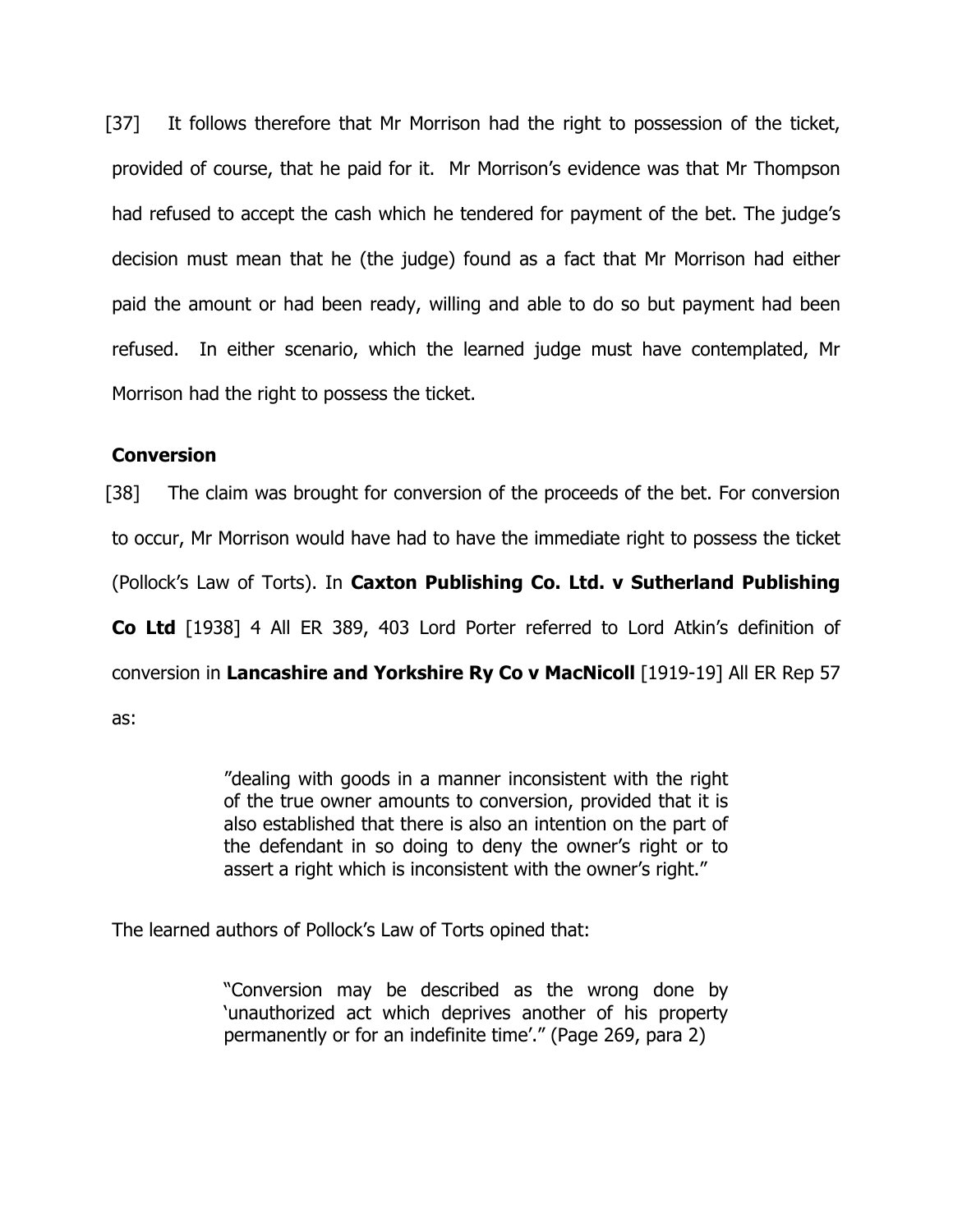[37] It follows therefore that Mr Morrison had the right to possession of the ticket, provided of course, that he paid for it. Mr Morrison's evidence was that Mr Thompson had refused to accept the cash which he tendered for payment of the bet. The judge's decision must mean that he (the judge) found as a fact that Mr Morrison had either paid the amount or had been ready, willing and able to do so but payment had been refused. In either scenario, which the learned judge must have contemplated, Mr Morrison had the right to possess the ticket.

## **Conversion**

[38] The claim was brought for conversion of the proceeds of the bet. For conversion to occur, Mr Morrison would have had to have the immediate right to possess the ticket (Pollock's Law of Torts). In **Caxton Publishing Co. Ltd. v Sutherland Publishing Co Ltd** [1938] 4 All ER 389, 403 Lord Porter referred to Lord Atkin's definition of conversion in **Lancashire and Yorkshire Ry Co v MacNicoll** [1919-19] All ER Rep 57 as:

> "dealing with goods in a manner inconsistent with the right of the true owner amounts to conversion, provided that it is also established that there is also an intention on the part of the defendant in so doing to deny the owner's right or to assert a right which is inconsistent with the owner's right."

The learned authors of Pollock's Law of Torts opined that:

"Conversion may be described as the wrong done by 'unauthorized act which deprives another of his property permanently or for an indefinite time'." (Page 269, para 2)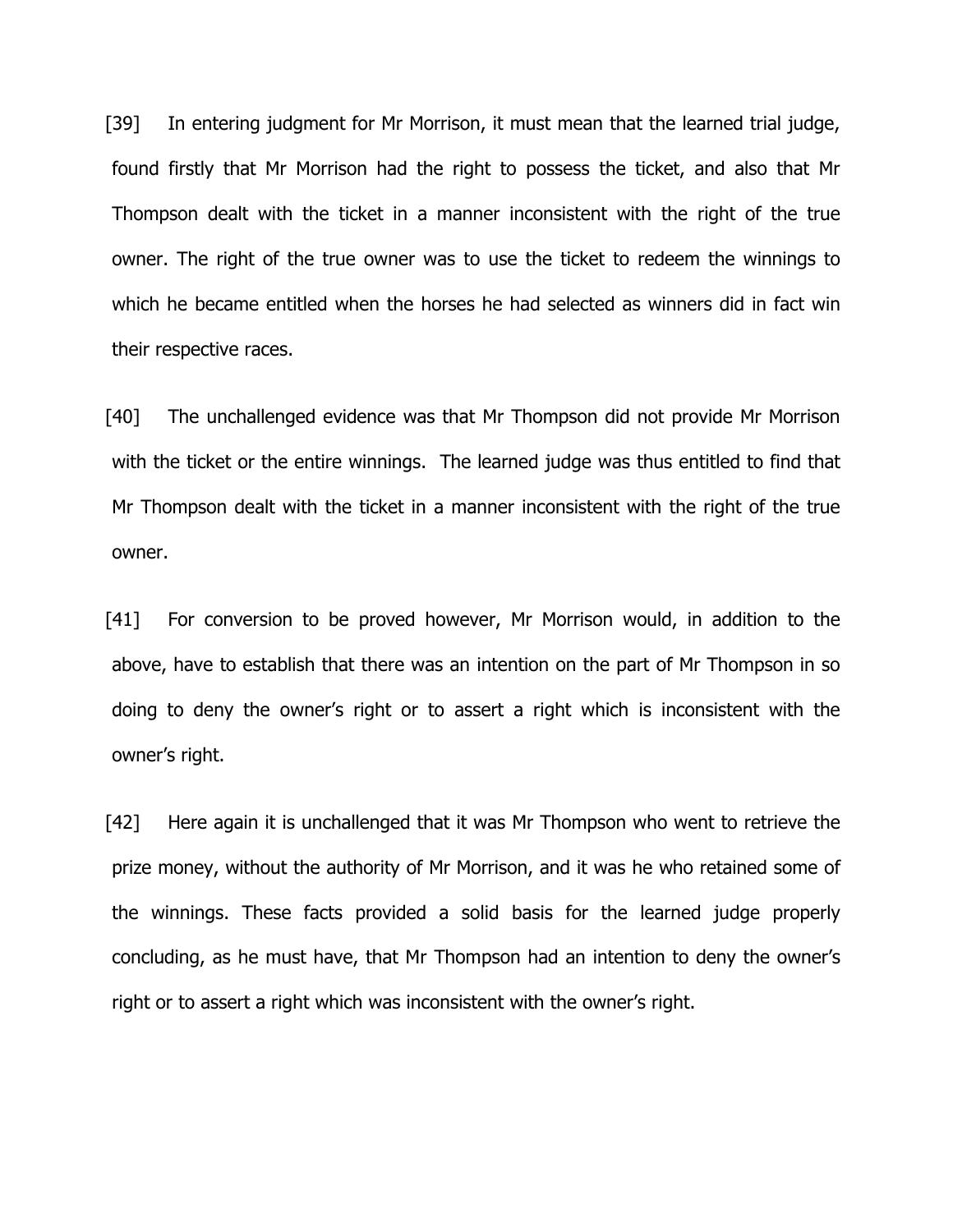[39] In entering judgment for Mr Morrison, it must mean that the learned trial judge, found firstly that Mr Morrison had the right to possess the ticket, and also that Mr Thompson dealt with the ticket in a manner inconsistent with the right of the true owner. The right of the true owner was to use the ticket to redeem the winnings to which he became entitled when the horses he had selected as winners did in fact win their respective races.

[40] The unchallenged evidence was that Mr Thompson did not provide Mr Morrison with the ticket or the entire winnings. The learned judge was thus entitled to find that Mr Thompson dealt with the ticket in a manner inconsistent with the right of the true owner.

[41] For conversion to be proved however, Mr Morrison would, in addition to the above, have to establish that there was an intention on the part of Mr Thompson in so doing to deny the owner's right or to assert a right which is inconsistent with the owner's right.

[42] Here again it is unchallenged that it was Mr Thompson who went to retrieve the prize money, without the authority of Mr Morrison, and it was he who retained some of the winnings. These facts provided a solid basis for the learned judge properly concluding, as he must have, that Mr Thompson had an intention to deny the owner's right or to assert a right which was inconsistent with the owner's right.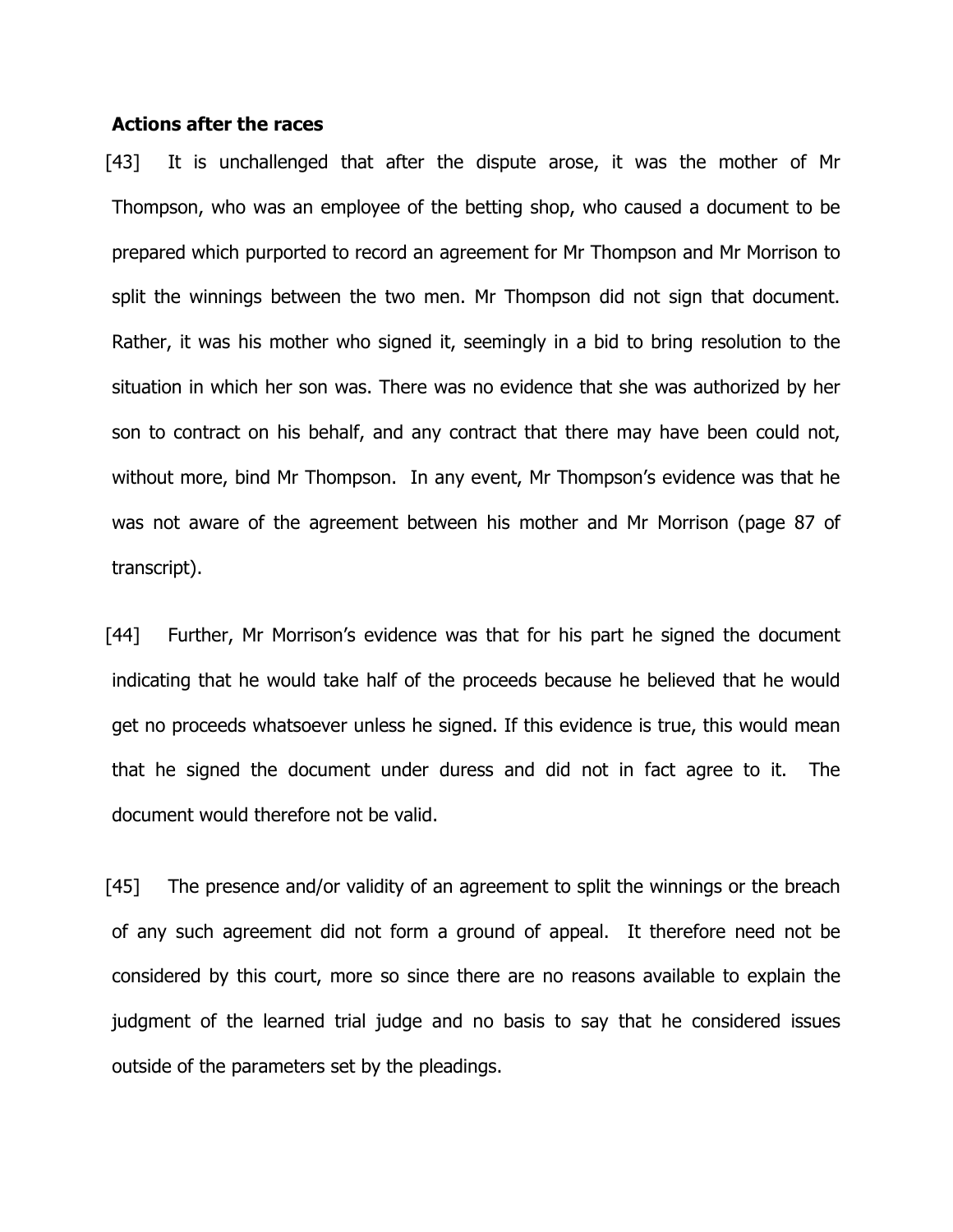#### **Actions after the races**

[43] It is unchallenged that after the dispute arose, it was the mother of Mr Thompson, who was an employee of the betting shop, who caused a document to be prepared which purported to record an agreement for Mr Thompson and Mr Morrison to split the winnings between the two men. Mr Thompson did not sign that document. Rather, it was his mother who signed it, seemingly in a bid to bring resolution to the situation in which her son was. There was no evidence that she was authorized by her son to contract on his behalf, and any contract that there may have been could not, without more, bind Mr Thompson. In any event, Mr Thompson's evidence was that he was not aware of the agreement between his mother and Mr Morrison (page 87 of transcript).

[44] Further, Mr Morrison's evidence was that for his part he signed the document indicating that he would take half of the proceeds because he believed that he would get no proceeds whatsoever unless he signed. If this evidence is true, this would mean that he signed the document under duress and did not in fact agree to it. The document would therefore not be valid.

[45] The presence and/or validity of an agreement to split the winnings or the breach of any such agreement did not form a ground of appeal. It therefore need not be considered by this court, more so since there are no reasons available to explain the judgment of the learned trial judge and no basis to say that he considered issues outside of the parameters set by the pleadings.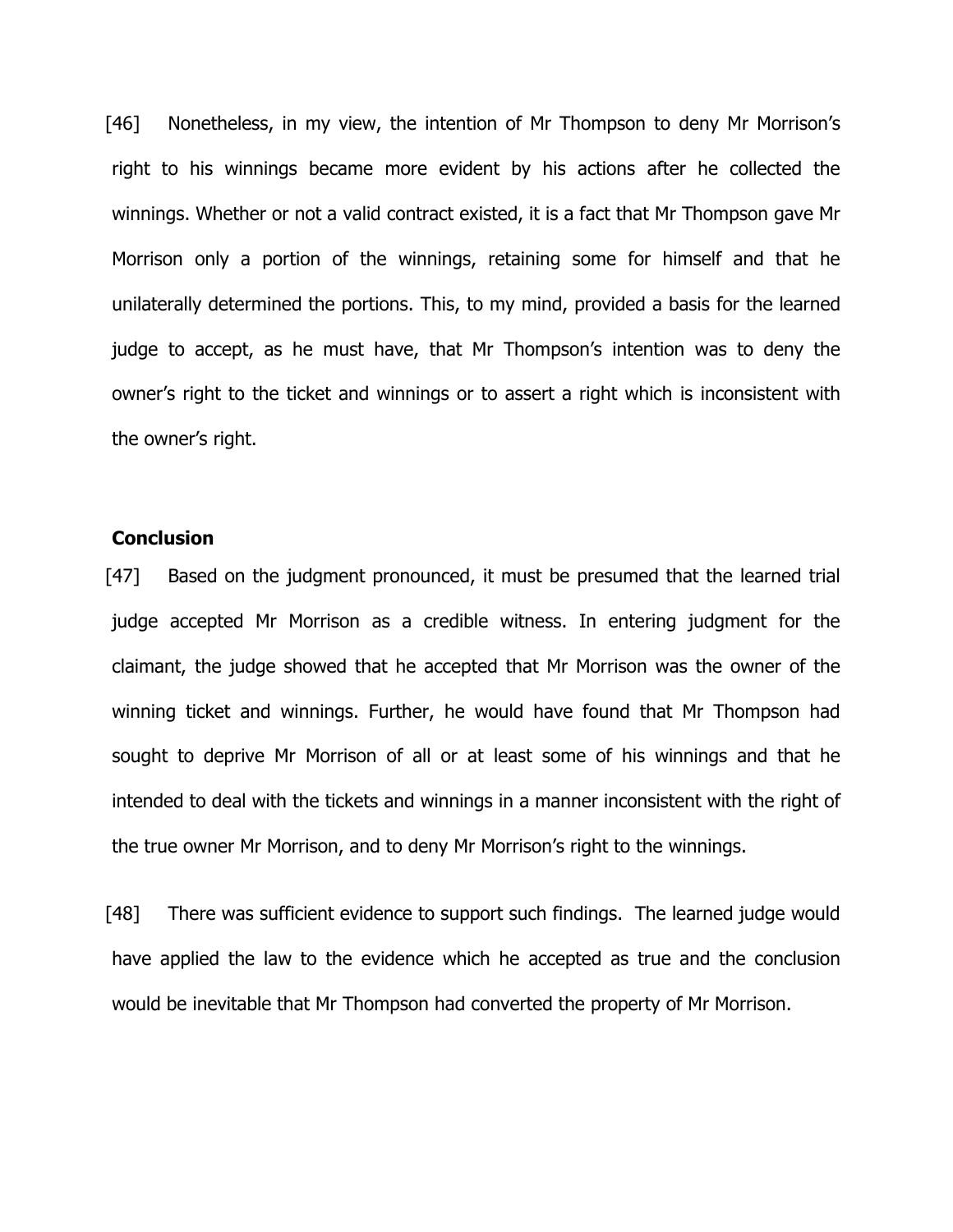[46] Nonetheless, in my view, the intention of Mr Thompson to deny Mr Morrison's right to his winnings became more evident by his actions after he collected the winnings. Whether or not a valid contract existed, it is a fact that Mr Thompson gave Mr Morrison only a portion of the winnings, retaining some for himself and that he unilaterally determined the portions. This, to my mind, provided a basis for the learned judge to accept, as he must have, that Mr Thompson's intention was to deny the owner's right to the ticket and winnings or to assert a right which is inconsistent with the owner's right.

## **Conclusion**

[47] Based on the judgment pronounced, it must be presumed that the learned trial judge accepted Mr Morrison as a credible witness. In entering judgment for the claimant, the judge showed that he accepted that Mr Morrison was the owner of the winning ticket and winnings. Further, he would have found that Mr Thompson had sought to deprive Mr Morrison of all or at least some of his winnings and that he intended to deal with the tickets and winnings in a manner inconsistent with the right of the true owner Mr Morrison, and to deny Mr Morrison's right to the winnings.

[48] There was sufficient evidence to support such findings. The learned judge would have applied the law to the evidence which he accepted as true and the conclusion would be inevitable that Mr Thompson had converted the property of Mr Morrison.